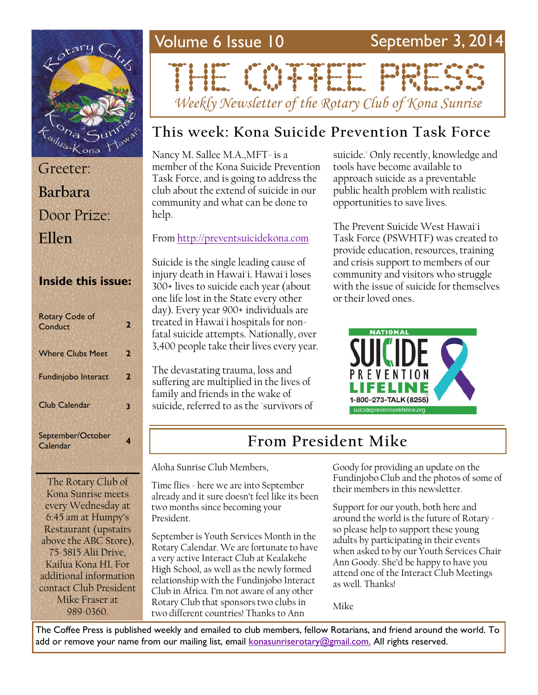

| Greeter:     |
|--------------|
| Barbara      |
| Door Prize:  |
| <b>Fllen</b> |

#### **Inside this issue:**

| <b>Rotary Code of</b><br>Conduct | 2 |
|----------------------------------|---|
| <b>Where Clubs Meet</b>          | 2 |
| <b>Fundinjobo Interact</b>       | 2 |
| <b>Club Calendar</b>             | 3 |
| September/October<br>Calendar    |   |

The Rotary Club of Kona Sunrise meets every Wednesday at 6:45 am at Humpy's Restaurant (upstairs above the ABC Store), 75-5815 Alii Drive, Kailua Kona HI. For additional information contact Club President Mike Fraser at 989-0360.

# Volume 6 Issue 10 September 3, 2014

# THE CONFIDENTIAL

*Weekly Newsletter of the Rotary Club of Kona Sunrise*

### **This week: Kona Suicide Prevention Task Force**

Nancy M. Sallee M.A.,MFT- is a member of the Kona Suicide Prevention Task Force, and is going to address the club about the extend of suicide in our community and what can be done to help.

#### From <http://preventsuicidekona.com>

Suicide is the single leading cause of injury death in Hawai'i. Hawai'i loses 300+ lives to suicide each year (about one life lost in the State every other day). Every year 900+ individuals are treated in Hawai'i hospitals for nonfatal suicide attempts. Nationally, over 3,400 people take their lives every year.

The devastating trauma, loss and suffering are multiplied in the lives of family and friends in the wake of suicide, referred to as the 'survivors of suicide.' Only recently, knowledge and tools have become available to approach suicide as a preventable public health problem with realistic opportunities to save lives.

The Prevent Suicide West Hawai'i Task Force (PSWHTF) was created to provide education, resources, training and crisis support to members of our community and visitors who struggle with the issue of suicide for themselves or their loved ones.



## **From President Mike**

Aloha Sunrise Club Members,

Time flies - here we are into September already and it sure doesn't feel like its been two months since becoming your President.

September is Youth Services Month in the Rotary Calendar. We are fortunate to have a very active Interact Club at Kealakehe High School, as well as the newly formed relationship with the Fundinjobo Interact Club in Africa. I'm not aware of any other Rotary Club that sponsors two clubs in two different countries! Thanks to Ann

Goody for providing an update on the Fundinjobo Club and the photos of some of their members in this newsletter.

Support for our youth, both here and around the world is the future of Rotary so please help to support these young adults by participating in their events when asked to by our Youth Services Chair Ann Goody. She'd be happy to have you attend one of the Interact Club Meetings as well. Thanks!

Mike

The Coffee Press is published weekly and emailed to club members, fellow Rotarians, and friend around the world. To add or remove your name from our mailing list, email [konasunriserotary@gmail.com.](mailto:konasunriserotary@gmail.com.) All rights reserved.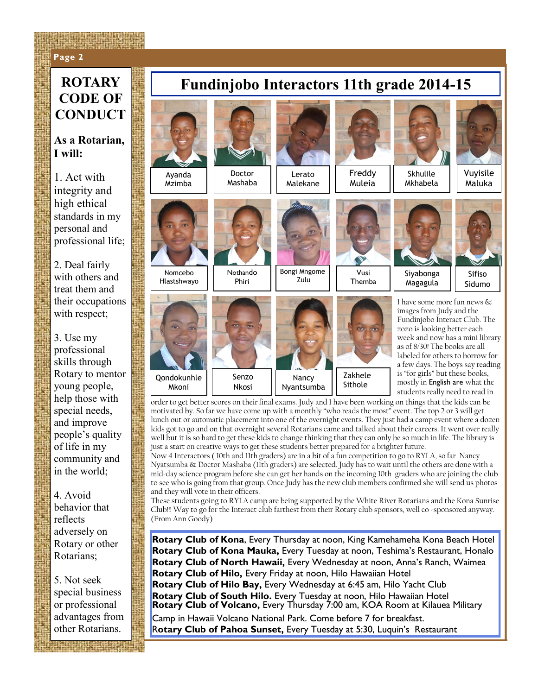#### **Page 2 Page 2**

# **CODE OF CONDUCT**

#### **As a Rotarian, I will:**

1. Act with integrity and high ethical standards in my personal and professional life;

2. Deal fairly with others and treat them and their occupations with respect;

3. Use my professional skills through Rotary to mentor young people, help those with special needs, and improve people's quality of life in my community and in the world;

4. Avoid behavior that reflects adversely on Rotary or other Rotarians;

5. Not seek special business or professional advantages from other Rotarians.

# **ROTARY Fundinjobo Interactors 11th grade 2014-15**



Mashaba

Ayanda Mzimba

Nomcebo Hlastshwayo

Qondokunhle Mkoni



Nothando Phiri



Bongi Mngome Zulu





Freddy Muleia

> Vusi Themba

Zakhele Sithole



Vuyisile Maluka



Sidumo

Siyabonga Magagula

Mkhabela

I have some more fun news & images from Judy and the Fundinjobo Interact Club. The zozo is looking better each week and now has a mini library as of 8/30! The books are all labeled for others to borrow for a few days. The boys say reading is "for girls" but these books, mostly in English are what the students really need to read in

order to get better scores on their final exams. Judy and I have been working on things that the kids can be motivated by. So far we have come up with a monthly "who reads the most" event. The top 2 or 3 will get lunch out or automatic placement into one of the overnight events. They just had a camp event where a dozen kids got to go and on that overnight several Rotarians came and talked about their careers. It went over really well but it is so hard to get these kids to change thinking that they can only be so much in life. The library is just a start on creative ways to get these students better prepared for a brighter future.

Now 4 Interactors ( 10th and 11th graders) are in a bit of a fun competition to go to RYLA, so far Nancy Nyatsumba & Doctor Mashaba (11th graders) are selected. Judy has to wait until the others are done with a mid-day science program before she can get her hands on the incoming 10th graders who are joining the club to see who is going from that group. Once Judy has the new club members confirmed she will send us photos and they will vote in their officers.

These students going to RYLA camp are being supported by the White River Rotarians and the Kona Sunrise Club!!! Way to go for the Interact club farthest from their Rotary club sponsors, well co -sponsored anyway. (From Ann Goody)

**Rotary Club of Kona**, Every Thursday at noon, King Kamehameha Kona Beach Hotel **Rotary Club of Kona Mauka,** Every Tuesday at noon, Teshima's Restaurant, Honalo **Rotary Club of North Hawaii,** Every Wednesday at noon, Anna's Ranch, Waimea **Rotary Club of Hilo,** Every Friday at noon, Hilo Hawaiian Hotel **Rotary Club of Hilo Bay,** Every Wednesday at 6:45 am, Hilo Yacht Club **Rotary Club of South Hilo.** Every Tuesday at noon, Hilo Hawaiian Hotel **Rotary Club of Volcano,** Every Thursday 7:00 am, KOA Room at Kilauea Military Camp in Hawaii Volcano National Park. Come before 7 for breakfast. R**otary Club of Pahoa Sunset,** Every Tuesday at 5:30, Luquin's Restaurant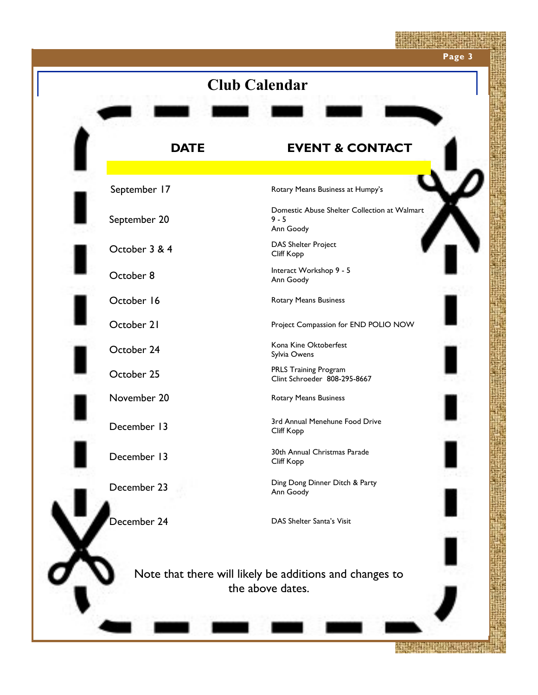

**ATARATHIC LINE**